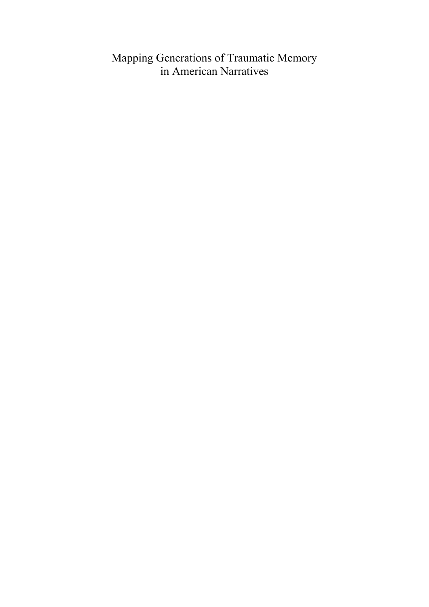# Mapping Generations of Traumatic Memory in American Narratives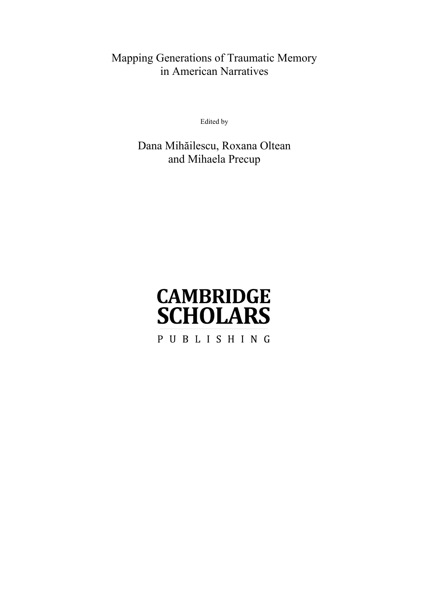# Mapping Generations of Traumatic Memory in American Narratives

Edited by

Dana Mihăilescu, Roxana Oltean and Mihaela Precup

# **CAMBRIDGE SCHOLARS**

PUBLISHING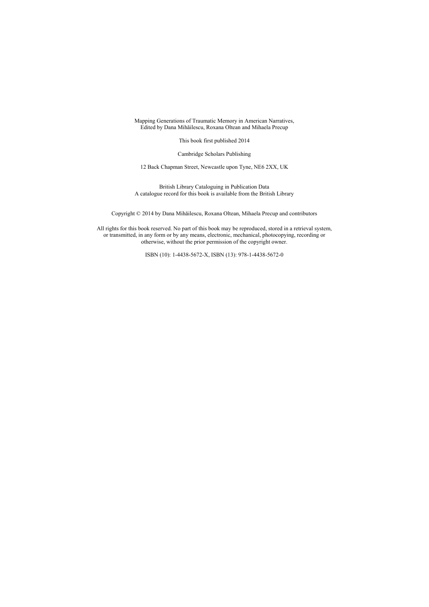Mapping Generations of Traumatic Memory in American Narratives, Edited by Dana Mihăilescu, Roxana Oltean and Mihaela Precup

This book first published 2014

Cambridge Scholars Publishing

12 Back Chapman Street, Newcastle upon Tyne, NE6 2XX, UK

British Library Cataloguing in Publication Data A catalogue record for this book is available from the British Library

Copyright © 2014 by Dana Mihăilescu, Roxana Oltean, Mihaela Precup and contributors

All rights for this book reserved. No part of this book may be reproduced, stored in a retrieval system, or transmitted, in any form or by any means, electronic, mechanical, photocopying, recording or otherwise, without the prior permission of the copyright owner.

ISBN (10): 1-4438-5672-X, ISBN (13): 978-1-4438-5672-0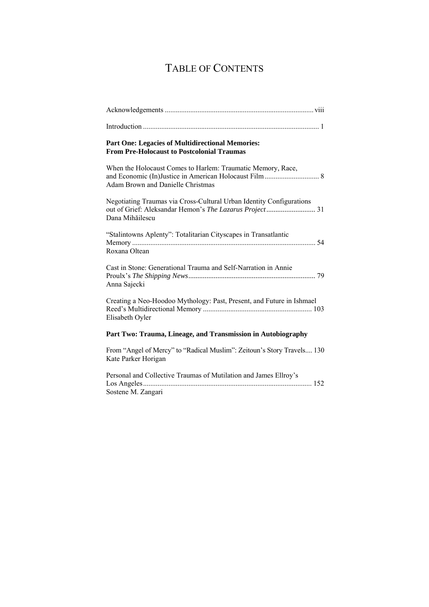# TABLE OF CONTENTS

| <b>Part One: Legacies of Multidirectional Memories:</b><br><b>From Pre-Holocaust to Postcolonial Traumas</b> |
|--------------------------------------------------------------------------------------------------------------|
| When the Holocaust Comes to Harlem: Traumatic Memory, Race,<br><b>Adam Brown and Danielle Christmas</b>      |
| Negotiating Traumas via Cross-Cultural Urban Identity Configurations<br>Dana Mihăilescu                      |
| "Stalintowns Aplenty": Totalitarian Cityscapes in Transatlantic<br>Roxana Oltean                             |
| Cast in Stone: Generational Trauma and Self-Narration in Annie<br>Anna Sajecki                               |
| Creating a Neo-Hoodoo Mythology: Past, Present, and Future in Ishmael<br>Elisabeth Oyler                     |
| Part Two: Trauma, Lineage, and Transmission in Autobiography                                                 |
| From "Angel of Mercy" to "Radical Muslim": Zeitoun's Story Travels 130<br>Kate Parker Horigan                |
| Personal and Collective Traumas of Mutilation and James Ellroy's<br>Sostene M. Zangari                       |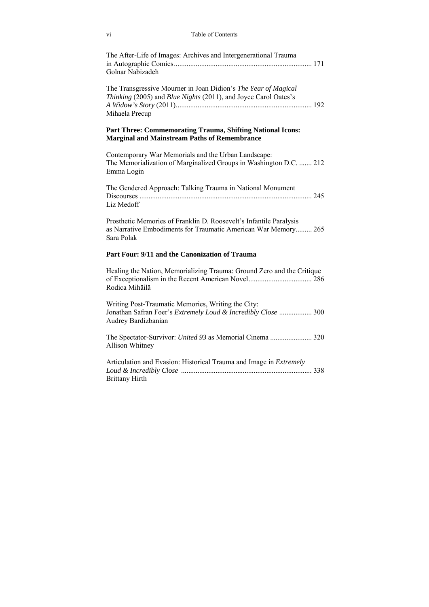| vi                    | Table of Contents                                                                                                                    |  |
|-----------------------|--------------------------------------------------------------------------------------------------------------------------------------|--|
| Golnar Nabizadeh      | The After-Life of Images: Archives and Intergenerational Trauma                                                                      |  |
| Mihaela Precup        | The Transgressive Mourner in Joan Didion's The Year of Magical<br>Thinking (2005) and Blue Nights (2011), and Joyce Carol Oates's    |  |
|                       | Part Three: Commemorating Trauma, Shifting National Icons:<br><b>Marginal and Mainstream Paths of Remembrance</b>                    |  |
| Emma Login            | Contemporary War Memorials and the Urban Landscape:<br>The Memorialization of Marginalized Groups in Washington D.C.  212            |  |
| Liz Medoff            | The Gendered Approach: Talking Trauma in National Monument                                                                           |  |
| Sara Polak            | Prosthetic Memories of Franklin D. Roosevelt's Infantile Paralysis<br>as Narrative Embodiments for Traumatic American War Memory 265 |  |
|                       | Part Four: 9/11 and the Canonization of Trauma                                                                                       |  |
| Rodica Mihăilă        | Healing the Nation, Memorializing Trauma: Ground Zero and the Critique                                                               |  |
| Audrey Bardizbanian   | Writing Post-Traumatic Memories, Writing the City:<br>Jonathan Safran Foer's Extremely Loud & Incredibly Close  300                  |  |
| Allison Whitney       | The Spectator-Survivor: United 93 as Memorial Cinema  320                                                                            |  |
| <b>Brittany Hirth</b> | Articulation and Evasion: Historical Trauma and Image in Extremely                                                                   |  |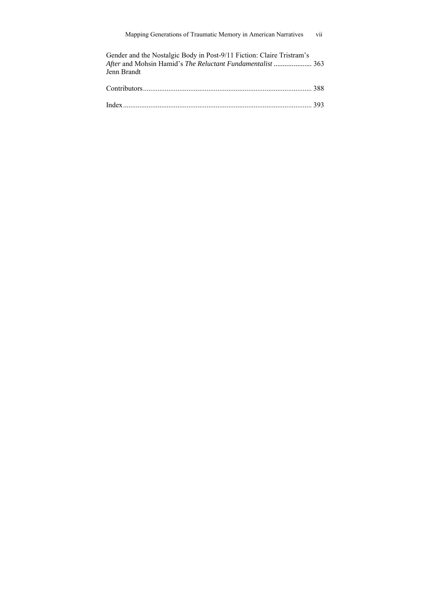| Gender and the Nostalgic Body in Post-9/11 Fiction: Claire Tristram's |     |
|-----------------------------------------------------------------------|-----|
| After and Mohsin Hamid's The Reluctant Fundamentalist  363            |     |
| Jenn Brandt                                                           |     |
|                                                                       |     |
|                                                                       | 388 |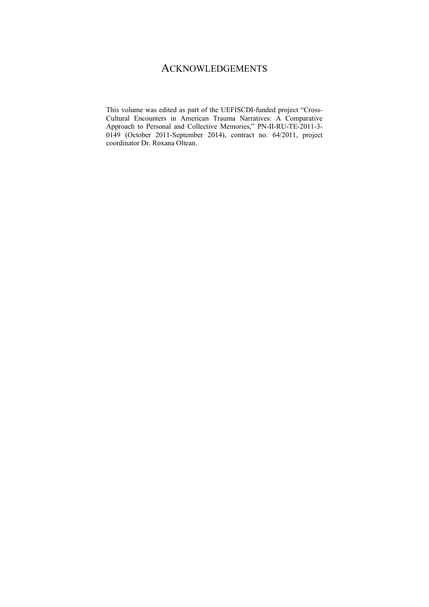### **ACKNOWLEDGEMENTS**

This volume was edited as part of the UEFISCDI-funded project "Cross-Cultural Encounters in American Trauma Narratives: A Comparative Approach to Personal and Collective Memories," PN-II-RU-TE-2011-3- 0149 (October 2011-September 2014), contract no. 64/2011, project coordinator Dr. Roxana Oltean.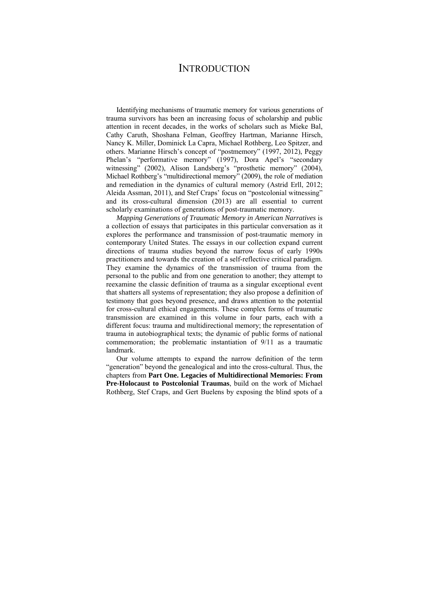### **INTRODUCTION**

Identifying mechanisms of traumatic memory for various generations of trauma survivors has been an increasing focus of scholarship and public attention in recent decades, in the works of scholars such as Mieke Bal, Cathy Caruth, Shoshana Felman, Geoffrey Hartman, Marianne Hirsch, Nancy K. Miller, Dominick La Capra, Michael Rothberg, Leo Spitzer, and others. Marianne Hirsch's concept of "postmemory" (1997, 2012), Peggy Phelan's "performative memory" (1997), Dora Apel's "secondary witnessing" (2002), Alison Landsberg's "prosthetic memory" (2004), Michael Rothberg's "multidirectional memory" (2009), the role of mediation and remediation in the dynamics of cultural memory (Astrid Erll, 2012; Aleida Assman, 2011), and Stef Craps' focus on "postcolonial witnessing" and its cross-cultural dimension (2013) are all essential to current scholarly examinations of generations of post-traumatic memory.

*Mapping Generations of Traumatic Memory in American Narratives* is a collection of essays that participates in this particular conversation as it explores the performance and transmission of post-traumatic memory in contemporary United States. The essays in our collection expand current directions of trauma studies beyond the narrow focus of early 1990s practitioners and towards the creation of a self-reflective critical paradigm. They examine the dynamics of the transmission of trauma from the personal to the public and from one generation to another; they attempt to reexamine the classic definition of trauma as a singular exceptional event that shatters all systems of representation; they also propose a definition of testimony that goes beyond presence, and draws attention to the potential for cross-cultural ethical engagements. These complex forms of traumatic transmission are examined in this volume in four parts, each with a different focus: trauma and multidirectional memory; the representation of trauma in autobiographical texts; the dynamic of public forms of national commemoration; the problematic instantiation of 9/11 as a traumatic landmark.

Our volume attempts to expand the narrow definition of the term "generation" beyond the genealogical and into the cross-cultural. Thus, the chapters from **Part One. Legacies of Multidirectional Memories: From Pre-Holocaust to Postcolonial Traumas**, build on the work of Michael Rothberg, Stef Craps, and Gert Buelens by exposing the blind spots of a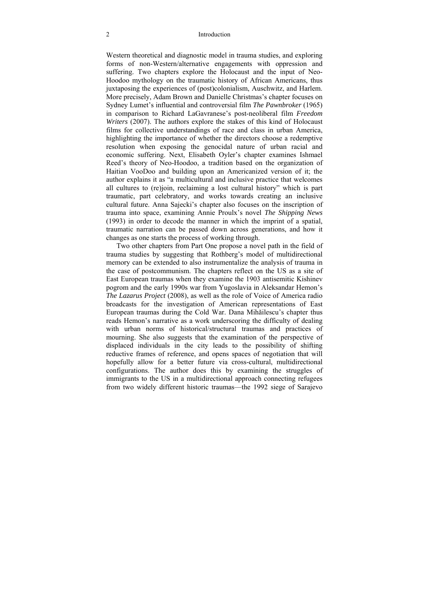Western theoretical and diagnostic model in trauma studies, and exploring forms of non-Western/alternative engagements with oppression and suffering. Two chapters explore the Holocaust and the input of Neo-Hoodoo mythology on the traumatic history of African Americans, thus juxtaposing the experiences of (post)colonialism, Auschwitz, and Harlem. More precisely, Adam Brown and Danielle Christmas's chapter focuses on Sydney Lumet's influential and controversial film *The Pawnbroker* (1965) in comparison to Richard LaGavranese's post-neoliberal film *Freedom Writers* (2007). The authors explore the stakes of this kind of Holocaust films for collective understandings of race and class in urban America, highlighting the importance of whether the directors choose a redemptive resolution when exposing the genocidal nature of urban racial and economic suffering. Next, Elisabeth Oyler's chapter examines Ishmael Reed's theory of Neo-Hoodoo, a tradition based on the organization of Haitian VooDoo and building upon an Americanized version of it; the author explains it as "a multicultural and inclusive practice that welcomes all cultures to (re)join, reclaiming a lost cultural history" which is part traumatic, part celebratory, and works towards creating an inclusive cultural future. Anna Sajecki's chapter also focuses on the inscription of trauma into space, examining Annie Proulx's novel *The Shipping News*  (1993) in order to decode the manner in which the imprint of a spatial, traumatic narration can be passed down across generations, and how it changes as one starts the process of working through.

Two other chapters from Part One propose a novel path in the field of trauma studies by suggesting that Rothberg's model of multidirectional memory can be extended to also instrumentalize the analysis of trauma in the case of postcommunism. The chapters reflect on the US as a site of East European traumas when they examine the 1903 antisemitic Kishinev pogrom and the early 1990s war from Yugoslavia in Aleksandar Hemon's *The Lazarus Project* (2008), as well as the role of Voice of America radio broadcasts for the investigation of American representations of East European traumas during the Cold War. Dana Mihăilescu's chapter thus reads Hemon's narrative as a work underscoring the difficulty of dealing with urban norms of historical/structural traumas and practices of mourning. She also suggests that the examination of the perspective of displaced individuals in the city leads to the possibility of shifting reductive frames of reference, and opens spaces of negotiation that will hopefully allow for a better future via cross-cultural, multidirectional configurations. The author does this by examining the struggles of immigrants to the US in a multidirectional approach connecting refugees from two widely different historic traumas—the 1992 siege of Sarajevo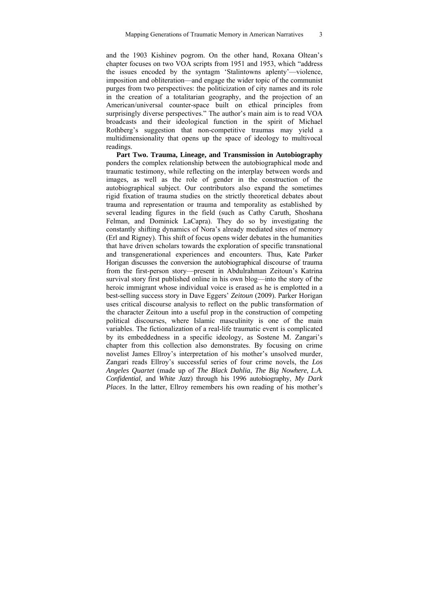and the 1903 Kishinev pogrom. On the other hand, Roxana Oltean's chapter focuses on two VOA scripts from 1951 and 1953, which "address the issues encoded by the syntagm 'Stalintowns aplenty'—violence, imposition and obliteration—and engage the wider topic of the communist purges from two perspectives: the politicization of city names and its role in the creation of a totalitarian geography, and the projection of an American/universal counter-space built on ethical principles from surprisingly diverse perspectives." The author's main aim is to read VOA broadcasts and their ideological function in the spirit of Michael Rothberg's suggestion that non-competitive traumas may yield a multidimensionality that opens up the space of ideology to multivocal readings.

**Part Two. Trauma, Lineage, and Transmission in Autobiography**  ponders the complex relationship between the autobiographical mode and traumatic testimony, while reflecting on the interplay between words and images, as well as the role of gender in the construction of the autobiographical subject. Our contributors also expand the sometimes rigid fixation of trauma studies on the strictly theoretical debates about trauma and representation or trauma and temporality as established by several leading figures in the field (such as Cathy Caruth, Shoshana Felman, and Dominick LaCapra). They do so by investigating the constantly shifting dynamics of Nora's already mediated sites of memory (Erl and Rigney). This shift of focus opens wider debates in the humanities that have driven scholars towards the exploration of specific transnational and transgenerational experiences and encounters. Thus, Kate Parker Horigan discusses the conversion the autobiographical discourse of trauma from the first-person story—present in Abdulrahman Zeitoun's Katrina survival story first published online in his own blog—into the story of the heroic immigrant whose individual voice is erased as he is emplotted in a best-selling success story in Dave Eggers' *Zeitoun* (2009). Parker Horigan uses critical discourse analysis to reflect on the public transformation of the character Zeitoun into a useful prop in the construction of competing political discourses, where Islamic masculinity is one of the main variables. The fictionalization of a real-life traumatic event is complicated by its embeddedness in a specific ideology, as Sostene M. Zangari's chapter from this collection also demonstrates. By focusing on crime novelist James Ellroy's interpretation of his mother's unsolved murder, Zangari reads Ellroy's successful series of four crime novels, the *Los Angeles Quartet* (made up of *The Black Dahlia*, *The Big Nowhere*, *L.A. Confidential*, and *White Jazz*) through his 1996 autobiography, *My Dark Places*. In the latter, Ellroy remembers his own reading of his mother's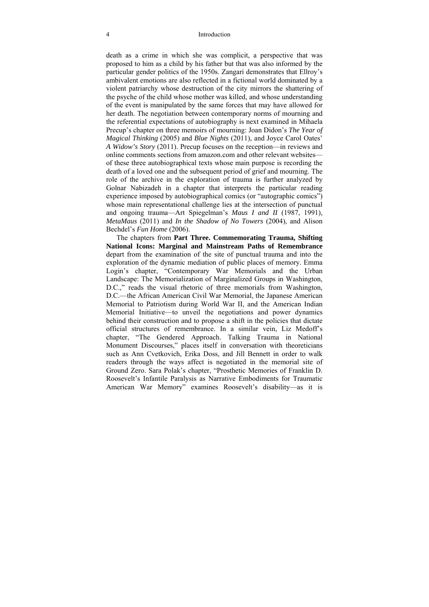#### 4 Introduction

death as a crime in which she was complicit, a perspective that was proposed to him as a child by his father but that was also informed by the particular gender politics of the 1950s. Zangari demonstrates that Ellroy's ambivalent emotions are also reflected in a fictional world dominated by a violent patriarchy whose destruction of the city mirrors the shattering of the psyche of the child whose mother was killed, and whose understanding of the event is manipulated by the same forces that may have allowed for her death. The negotiation between contemporary norms of mourning and the referential expectations of autobiography is next examined in Mihaela Precup's chapter on three memoirs of mourning: Joan Didon's *The Year of Magical Thinking* (2005) and *Blue Nights* (2011), and Joyce Carol Oates' *A Widow's Story* (2011). Precup focuses on the reception—in reviews and online comments sections from amazon.com and other relevant websites of these three autobiographical texts whose main purpose is recording the death of a loved one and the subsequent period of grief and mourning. The role of the archive in the exploration of trauma is further analyzed by Golnar Nabizadeh in a chapter that interprets the particular reading experience imposed by autobiographical comics (or "autographic comics") whose main representational challenge lies at the intersection of punctual and ongoing trauma—Art Spiegelman's *Maus I and II* (1987, 1991), *MetaMaus* (2011) and *In the Shadow of No Towers* (2004), and Alison Bechdel's *Fun Home* (2006).

The chapters from **Part Three. Commemorating Trauma, Shifting National Icons: Marginal and Mainstream Paths of Remembrance** depart from the examination of the site of punctual trauma and into the exploration of the dynamic mediation of public places of memory. Emma Login's chapter, "Contemporary War Memorials and the Urban Landscape: The Memorialization of Marginalized Groups in Washington, D.C.," reads the visual rhetoric of three memorials from Washington, D.C.—the African American Civil War Memorial, the Japanese American Memorial to Patriotism during World War II, and the American Indian Memorial Initiative—to unveil the negotiations and power dynamics behind their construction and to propose a shift in the policies that dictate official structures of remembrance. In a similar vein, Liz Medoff's chapter, "The Gendered Approach. Talking Trauma in National Monument Discourses," places itself in conversation with theoreticians such as Ann Cvetkovich, Erika Doss, and Jill Bennett in order to walk readers through the ways affect is negotiated in the memorial site of Ground Zero. Sara Polak's chapter, "Prosthetic Memories of Franklin D. Roosevelt's Infantile Paralysis as Narrative Embodiments for Traumatic American War Memory" examines Roosevelt's disability—as it is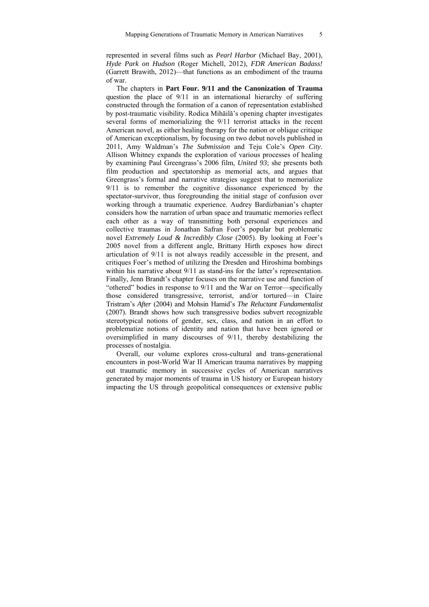represented in several films such as *Pearl Harbor* (Michael Bay, 2001), *Hyde Park on Hudson* (Roger Michell, 2012), *FDR American Badass!* (Garrett Brawith, 2012)—that functions as an embodiment of the trauma of war.

The chapters in **Part Four. 9/11 and the Canonization of Trauma** question the place of 9/11 in an international hierarchy of suffering constructed through the formation of a canon of representation established by post-traumatic visibility. Rodica Mihăilă's opening chapter investigates several forms of memorializing the 9/11 terrorist attacks in the recent American novel, as either healing therapy for the nation or oblique critique of American exceptionalism, by focusing on two debut novels published in 2011, Amy Waldman's *The Submission* and Teju Cole's *Open City*. Allison Whitney expands the exploration of various processes of healing by examining Paul Greengrass's 2006 film, *United 93*; she presents both film production and spectatorship as memorial acts, and argues that Greengrass's formal and narrative strategies suggest that to memorialize 9/11 is to remember the cognitive dissonance experienced by the spectator-survivor, thus foregrounding the initial stage of confusion over working through a traumatic experience. Audrey Bardizbanian's chapter considers how the narration of urban space and traumatic memories reflect each other as a way of transmitting both personal experiences and collective traumas in Jonathan Safran Foer's popular but problematic novel *Extremely Loud & Incredibly Close* (2005). By looking at Foer's 2005 novel from a different angle, Brittany Hirth exposes how direct articulation of 9/11 is not always readily accessible in the present, and critiques Foer's method of utilizing the Dresden and Hiroshima bombings within his narrative about  $9/11$  as stand-ins for the latter's representation. Finally, Jenn Brandt's chapter focuses on the narrative use and function of "othered" bodies in response to 9/11 and the War on Terror—specifically those considered transgressive, terrorist, and/or tortured—in Claire Tristram's *After* (2004) and Mohsin Hamid's *The Reluctant Fundamentalist* (2007). Brandt shows how such transgressive bodies subvert recognizable stereotypical notions of gender, sex, class, and nation in an effort to problematize notions of identity and nation that have been ignored or oversimplified in many discourses of 9/11, thereby destabilizing the processes of nostalgia.

Overall, our volume explores cross-cultural and trans-generational encounters in post-World War II American trauma narratives by mapping out traumatic memory in successive cycles of American narratives generated by major moments of trauma in US history or European history impacting the US through geopolitical consequences or extensive public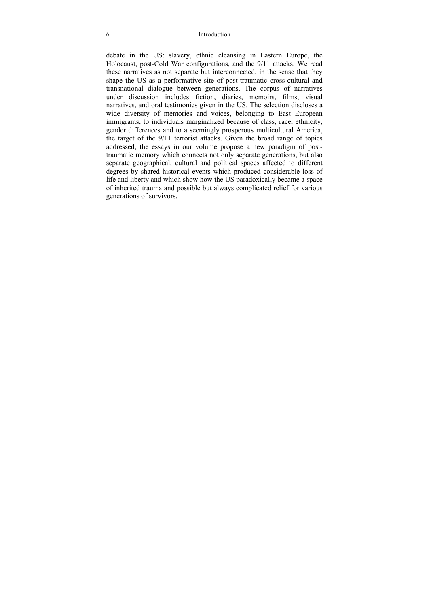#### 6 Introduction

debate in the US: slavery, ethnic cleansing in Eastern Europe, the Holocaust, post-Cold War configurations, and the 9/11 attacks. We read these narratives as not separate but interconnected, in the sense that they shape the US as a performative site of post-traumatic cross-cultural and transnational dialogue between generations. The corpus of narratives under discussion includes fiction, diaries, memoirs, films, visual narratives, and oral testimonies given in the US. The selection discloses a wide diversity of memories and voices, belonging to East European immigrants, to individuals marginalized because of class, race, ethnicity, gender differences and to a seemingly prosperous multicultural America, the target of the 9/11 terrorist attacks. Given the broad range of topics addressed, the essays in our volume propose a new paradigm of posttraumatic memory which connects not only separate generations, but also separate geographical, cultural and political spaces affected to different degrees by shared historical events which produced considerable loss of life and liberty and which show how the US paradoxically became a space of inherited trauma and possible but always complicated relief for various generations of survivors.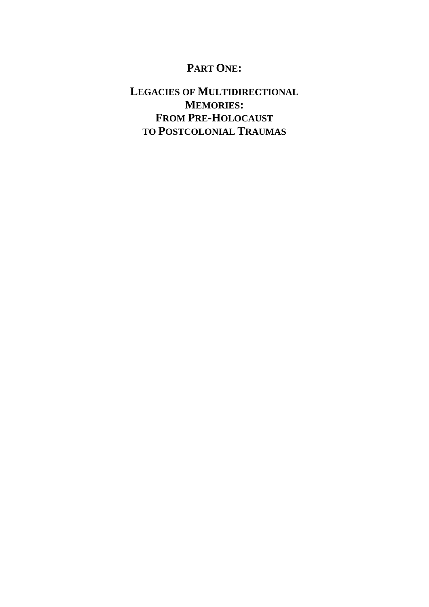# **PART ONE:**

# **LEGACIES OF MULTIDIRECTIONAL MEMORIES: FROM PRE-HOLOCAUST TO POSTCOLONIAL TRAUMAS**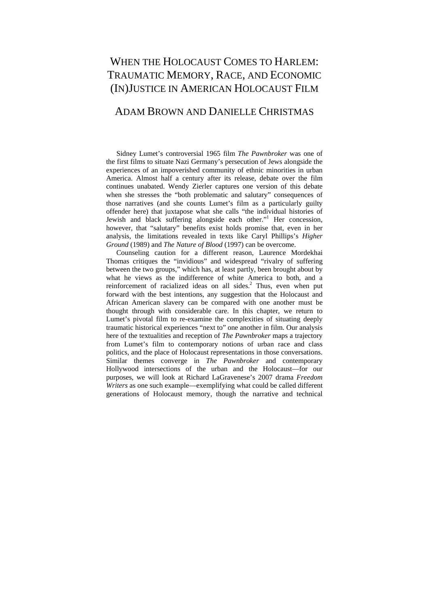# WHEN THE HOLOCAUST COMES TO HARLEM: TRAUMATIC MEMORY, RACE, AND ECONOMIC (IN)JUSTICE IN AMERICAN HOLOCAUST FILM

### ADAM BROWN AND DANIELLE CHRISTMAS

Sidney Lumet's controversial 1965 film *The Pawnbroker* was one of the first films to situate Nazi Germany's persecution of Jews alongside the experiences of an impoverished community of ethnic minorities in urban America. Almost half a century after its release, debate over the film continues unabated. Wendy Zierler captures one version of this debate when she stresses the "both problematic and salutary" consequences of those narratives (and she counts Lumet's film as a particularly guilty offender here) that juxtapose what she calls "the individual histories of Jewish and black suffering alongside each other."<sup>1</sup> Her concession, however, that "salutary" benefits exist holds promise that, even in her analysis, the limitations revealed in texts like Caryl Phillips's *Higher Ground* (1989) and *The Nature of Blood* (1997) can be overcome.

Counseling caution for a different reason, Laurence Mordekhai Thomas critiques the "invidious" and widespread "rivalry of suffering between the two groups," which has, at least partly, been brought about by what he views as the indifference of white America to both, and a reinforcement of racialized ideas on all sides.<sup>2</sup> Thus, even when put forward with the best intentions, any suggestion that the Holocaust and African American slavery can be compared with one another must be thought through with considerable care. In this chapter, we return to Lumet's pivotal film to re-examine the complexities of situating deeply traumatic historical experiences "next to" one another in film. Our analysis here of the textualities and reception of *The Pawnbroker* maps a trajectory from Lumet's film to contemporary notions of urban race and class politics, and the place of Holocaust representations in those conversations. Similar themes converge in *The Pawnbroker* and contemporary Hollywood intersections of the urban and the Holocaust—for our purposes, we will look at Richard LaGravenese's 2007 drama *Freedom Writers* as one such example—exemplifying what could be called different generations of Holocaust memory, though the narrative and technical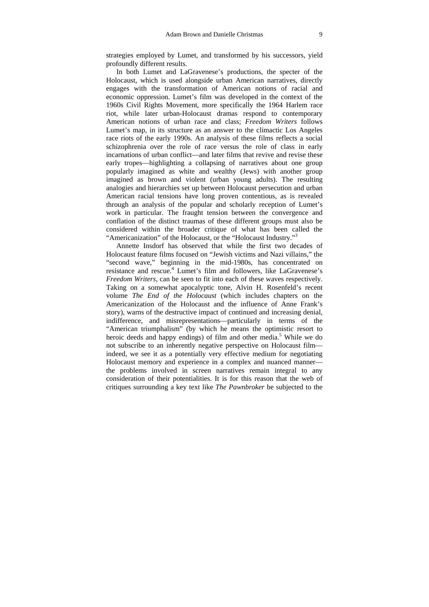strategies employed by Lumet, and transformed by his successors, yield profoundly different results.

In both Lumet and LaGravenese's productions, the specter of the Holocaust, which is used alongside urban American narratives, directly engages with the transformation of American notions of racial and economic oppression. Lumet's film was developed in the context of the 1960s Civil Rights Movement, more specifically the 1964 Harlem race riot, while later urban-Holocaust dramas respond to contemporary American notions of urban race and class; *Freedom Writers* follows Lumet's map, in its structure as an answer to the climactic Los Angeles race riots of the early 1990s. An analysis of these films reflects a social schizophrenia over the role of race versus the role of class in early incarnations of urban conflict—and later films that revive and revise these early tropes—highlighting a collapsing of narratives about one group popularly imagined as white and wealthy (Jews) with another group imagined as brown and violent (urban young adults). The resulting analogies and hierarchies set up between Holocaust persecution and urban American racial tensions have long proven contentious, as is revealed through an analysis of the popular and scholarly reception of Lumet's work in particular. The fraught tension between the convergence and conflation of the distinct traumas of these different groups must also be considered within the broader critique of what has been called the "Americanization" of the Holocaust, or the "Holocaust Industry."<sup>3</sup>

Annette Insdorf has observed that while the first two decades of Holocaust feature films focused on "Jewish victims and Nazi villains," the "second wave," beginning in the mid-1980s, has concentrated on resistance and rescue.<sup>4</sup> Lumet's film and followers, like LaGravenese's *Freedom Writers*, can be seen to fit into each of these waves respectively. Taking on a somewhat apocalyptic tone, Alvin H. Rosenfeld's recent volume *The End of the Holocaust* (which includes chapters on the Americanization of the Holocaust and the influence of Anne Frank's story), warns of the destructive impact of continued and increasing denial, indifference, and misrepresentations—particularly in terms of the "American triumphalism" (by which he means the optimistic resort to heroic deeds and happy endings) of film and other media.<sup>5</sup> While we do not subscribe to an inherently negative perspective on Holocaust film indeed, we see it as a potentially very effective medium for negotiating Holocaust memory and experience in a complex and nuanced manner the problems involved in screen narratives remain integral to any consideration of their potentialities. It is for this reason that the web of critiques surrounding a key text like *The Pawnbroker* be subjected to the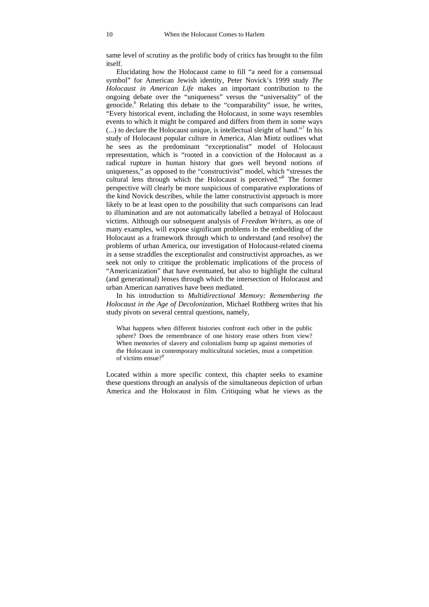same level of scrutiny as the prolific body of critics has brought to the film itself.

Elucidating how the Holocaust came to fill "a need for a consensual symbol" for American Jewish identity, Peter Novick's 1999 study *The Holocaust in American Life* makes an important contribution to the ongoing debate over the "uniqueness" versus the "universality" of the genocide.<sup>6</sup> Relating this debate to the "comparability" issue, he writes, "Every historical event, including the Holocaust, in some ways resembles events to which it might be compared and differs from them in some ways  $(...)$  to declare the Holocaust unique, is intellectual sleight of hand."<sup>7</sup> In his study of Holocaust popular culture in America, Alan Mintz outlines what he sees as the predominant "exceptionalist" model of Holocaust representation, which is "rooted in a conviction of the Holocaust as a radical rupture in human history that goes well beyond notions of uniqueness," as opposed to the "constructivist" model, which "stresses the cultural lens through which the Holocaust is perceived."8 The former perspective will clearly be more suspicious of comparative explorations of the kind Novick describes, while the latter constructivist approach is more likely to be at least open to the possibility that such comparisons can lead to illumination and are not automatically labelled a betrayal of Holocaust victims. Although our subsequent analysis of *Freedom Writers*, as one of many examples, will expose significant problems in the embedding of the Holocaust as a framework through which to understand (and resolve) the problems of urban America, our investigation of Holocaust-related cinema in a sense straddles the exceptionalist and constructivist approaches, as we seek not only to critique the problematic implications of the process of "Americanization" that have eventuated, but also to highlight the cultural (and generational) lenses through which the intersection of Holocaust and urban American narratives have been mediated.

In his introduction to *Multidirectional Memory: Remembering the Holocaust in the Age of Decolonization*, Michael Rothberg writes that his study pivots on several central questions, namely,

What happens when different histories confront each other in the public sphere? Does the remembrance of one history erase others from view? When memories of slavery and colonialism bump up against memories of the Holocaust in contemporary multicultural societies, must a competition of victims ensue?<sup>9</sup>

Located within a more specific context, this chapter seeks to examine these questions through an analysis of the simultaneous depiction of urban America and the Holocaust in film. Critiquing what he views as the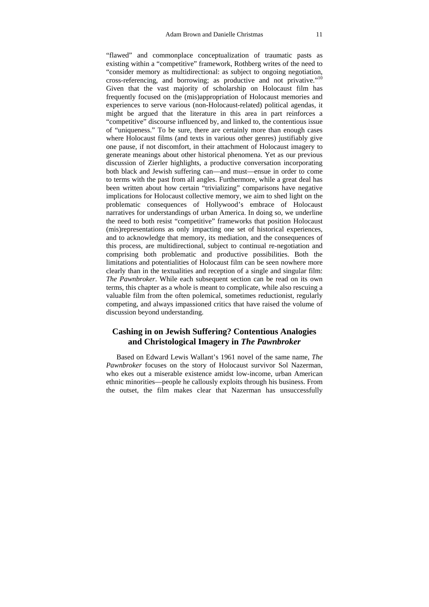"flawed" and commonplace conceptualization of traumatic pasts as existing within a "competitive" framework, Rothberg writes of the need to "consider memory as multidirectional: as subject to ongoing negotiation, cross-referencing, and borrowing; as productive and not privative."10 Given that the vast majority of scholarship on Holocaust film has frequently focused on the (mis)appropriation of Holocaust memories and experiences to serve various (non-Holocaust-related) political agendas, it might be argued that the literature in this area in part reinforces a "competitive" discourse influenced by, and linked to, the contentious issue of "uniqueness." To be sure, there are certainly more than enough cases where Holocaust films (and texts in various other genres) justifiably give one pause, if not discomfort, in their attachment of Holocaust imagery to generate meanings about other historical phenomena. Yet as our previous discussion of Zierler highlights, a productive conversation incorporating both black and Jewish suffering can—and must—ensue in order to come to terms with the past from all angles. Furthermore, while a great deal has been written about how certain "trivializing" comparisons have negative implications for Holocaust collective memory, we aim to shed light on the problematic consequences of Hollywood's embrace of Holocaust narratives for understandings of urban America. In doing so, we underline the need to both resist "competitive" frameworks that position Holocaust (mis)representations as only impacting one set of historical experiences, and to acknowledge that memory, its mediation, and the consequences of this process, are multidirectional, subject to continual re-negotiation and comprising both problematic and productive possibilities. Both the limitations and potentialities of Holocaust film can be seen nowhere more clearly than in the textualities and reception of a single and singular film: *The Pawnbroker*. While each subsequent section can be read on its own terms, this chapter as a whole is meant to complicate, while also rescuing a valuable film from the often polemical, sometimes reductionist, regularly competing, and always impassioned critics that have raised the volume of discussion beyond understanding.

#### **Cashing in on Jewish Suffering? Contentious Analogies and Christological Imagery in** *The Pawnbroker*

Based on Edward Lewis Wallant's 1961 novel of the same name, *The Pawnbroker* focuses on the story of Holocaust survivor Sol Nazerman, who ekes out a miserable existence amidst low-income, urban American ethnic minorities—people he callously exploits through his business. From the outset, the film makes clear that Nazerman has unsuccessfully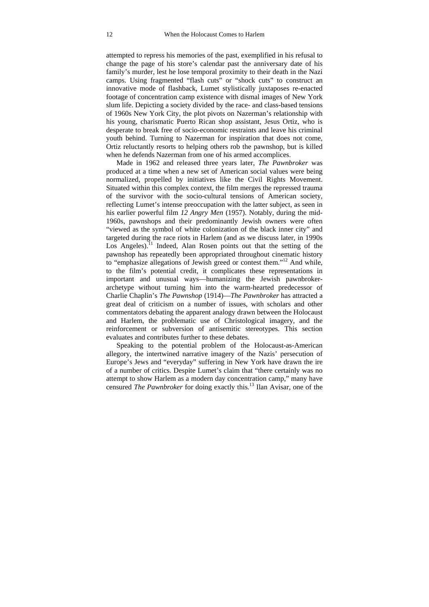attempted to repress his memories of the past, exemplified in his refusal to change the page of his store's calendar past the anniversary date of his family's murder, lest he lose temporal proximity to their death in the Nazi camps. Using fragmented "flash cuts" or "shock cuts" to construct an innovative mode of flashback, Lumet stylistically juxtaposes re-enacted footage of concentration camp existence with dismal images of New York slum life. Depicting a society divided by the race- and class-based tensions of 1960s New York City, the plot pivots on Nazerman's relationship with his young, charismatic Puerto Rican shop assistant, Jesus Ortiz, who is desperate to break free of socio-economic restraints and leave his criminal youth behind. Turning to Nazerman for inspiration that does not come, Ortiz reluctantly resorts to helping others rob the pawnshop, but is killed when he defends Nazerman from one of his armed accomplices.

Made in 1962 and released three years later, *The Pawnbroker* was produced at a time when a new set of American social values were being normalized, propelled by initiatives like the Civil Rights Movement. Situated within this complex context, the film merges the repressed trauma of the survivor with the socio-cultural tensions of American society, reflecting Lumet's intense preoccupation with the latter subject, as seen in his earlier powerful film *12 Angry Men* (1957). Notably, during the mid-1960s, pawnshops and their predominantly Jewish owners were often "viewed as the symbol of white colonization of the black inner city" and targeted during the race riots in Harlem (and as we discuss later, in 1990s Los Angeles).<sup>11</sup> Indeed, Alan Rosen points out that the setting of the pawnshop has repeatedly been appropriated throughout cinematic history to "emphasize allegations of Jewish greed or contest them."<sup>12</sup> And while, to the film's potential credit, it complicates these representations in important and unusual ways—humanizing the Jewish pawnbrokerarchetype without turning him into the warm-hearted predecessor of Charlie Chaplin's *The Pawnshop* (1914)—*The Pawnbroker* has attracted a great deal of criticism on a number of issues, with scholars and other commentators debating the apparent analogy drawn between the Holocaust and Harlem, the problematic use of Christological imagery, and the reinforcement or subversion of antisemitic stereotypes. This section evaluates and contributes further to these debates.

Speaking to the potential problem of the Holocaust-as-American allegory, the intertwined narrative imagery of the Nazis' persecution of Europe's Jews and "everyday" suffering in New York have drawn the ire of a number of critics. Despite Lumet's claim that "there certainly was no attempt to show Harlem as a modern day concentration camp," many have censured *The Pawnbroker* for doing exactly this.<sup>13</sup> Ilan Avisar, one of the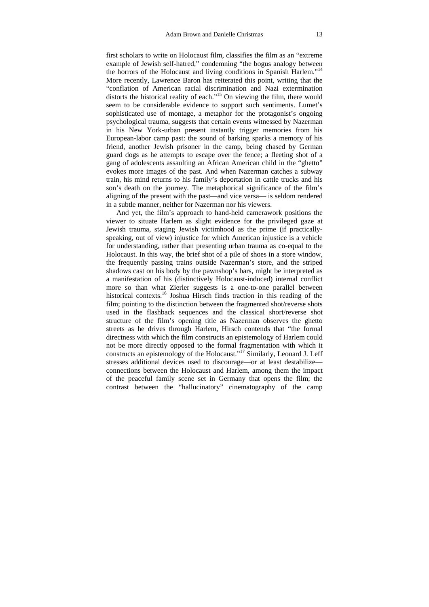first scholars to write on Holocaust film, classifies the film as an "extreme example of Jewish self-hatred," condemning "the bogus analogy between the horrors of the Holocaust and living conditions in Spanish Harlem."<sup>14</sup> More recently, Lawrence Baron has reiterated this point, writing that the "conflation of American racial discrimination and Nazi extermination distorts the historical reality of each."<sup>15</sup> On viewing the film, there would seem to be considerable evidence to support such sentiments. Lumet's sophisticated use of montage, a metaphor for the protagonist's ongoing psychological trauma, suggests that certain events witnessed by Nazerman in his New York-urban present instantly trigger memories from his European-labor camp past: the sound of barking sparks a memory of his friend, another Jewish prisoner in the camp, being chased by German guard dogs as he attempts to escape over the fence; a fleeting shot of a gang of adolescents assaulting an African American child in the "ghetto" evokes more images of the past. And when Nazerman catches a subway train, his mind returns to his family's deportation in cattle trucks and his son's death on the journey. The metaphorical significance of the film's aligning of the present with the past—and vice versa— is seldom rendered in a subtle manner, neither for Nazerman nor his viewers.

And yet, the film's approach to hand-held camerawork positions the viewer to situate Harlem as slight evidence for the privileged gaze at Jewish trauma, staging Jewish victimhood as the prime (if practicallyspeaking, out of view) injustice for which American injustice is a vehicle for understanding, rather than presenting urban trauma as co-equal to the Holocaust. In this way, the brief shot of a pile of shoes in a store window, the frequently passing trains outside Nazerman's store, and the striped shadows cast on his body by the pawnshop's bars, might be interpreted as a manifestation of his (distinctively Holocaust-induced) internal conflict more so than what Zierler suggests is a one-to-one parallel between historical contexts.<sup>16</sup> Joshua Hirsch finds traction in this reading of the film; pointing to the distinction between the fragmented shot/reverse shots used in the flashback sequences and the classical short/reverse shot structure of the film's opening title as Nazerman observes the ghetto streets as he drives through Harlem, Hirsch contends that "the formal directness with which the film constructs an epistemology of Harlem could not be more directly opposed to the formal fragmentation with which it constructs an epistemology of the Holocaust."17 Similarly, Leonard J. Leff stresses additional devices used to discourage—or at least destabilize connections between the Holocaust and Harlem, among them the impact of the peaceful family scene set in Germany that opens the film; the contrast between the "hallucinatory" cinematography of the camp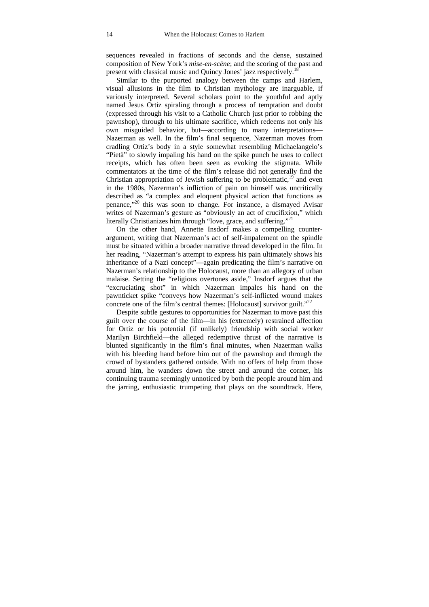sequences revealed in fractions of seconds and the dense, sustained composition of New York's *mise-en-scène*; and the scoring of the past and present with classical music and Quincy Jones' jazz respectively.18

Similar to the purported analogy between the camps and Harlem, visual allusions in the film to Christian mythology are inarguable, if variously interpreted. Several scholars point to the youthful and aptly named Jesus Ortiz spiraling through a process of temptation and doubt (expressed through his visit to a Catholic Church just prior to robbing the pawnshop), through to his ultimate sacrifice, which redeems not only his own misguided behavior, but—according to many interpretations— Nazerman as well. In the film's final sequence, Nazerman moves from cradling Ortiz's body in a style somewhat resembling Michaelangelo's "Pietà" to slowly impaling his hand on the spike punch he uses to collect receipts, which has often been seen as evoking the stigmata. While commentators at the time of the film's release did not generally find the Christian appropriation of Jewish suffering to be problematic, $19^{\circ}$  and even in the 1980s, Nazerman's infliction of pain on himself was uncritically described as "a complex and eloquent physical action that functions as penance,"20 this was soon to change. For instance, a dismayed Avisar writes of Nazerman's gesture as "obviously an act of crucifixion," which literally Christianizes him through "love, grace, and suffering."<sup>21</sup>

On the other hand, Annette Insdorf makes a compelling counterargument, writing that Nazerman's act of self-impalement on the spindle must be situated within a broader narrative thread developed in the film. In her reading, "Nazerman's attempt to express his pain ultimately shows his inheritance of a Nazi concept"—again predicating the film's narrative on Nazerman's relationship to the Holocaust, more than an allegory of urban malaise. Setting the "religious overtones aside," Insdorf argues that the "excruciating shot" in which Nazerman impales his hand on the pawnticket spike "conveys how Nazerman's self-inflicted wound makes concrete one of the film's central themes: [Holocaust] survivor guilt."<sup>22</sup>

Despite subtle gestures to opportunities for Nazerman to move past this guilt over the course of the film—in his (extremely) restrained affection for Ortiz or his potential (if unlikely) friendship with social worker Marilyn Birchfield—the alleged redemptive thrust of the narrative is blunted significantly in the film's final minutes, when Nazerman walks with his bleeding hand before him out of the pawnshop and through the crowd of bystanders gathered outside. With no offers of help from those around him, he wanders down the street and around the corner, his continuing trauma seemingly unnoticed by both the people around him and the jarring, enthusiastic trumpeting that plays on the soundtrack. Here,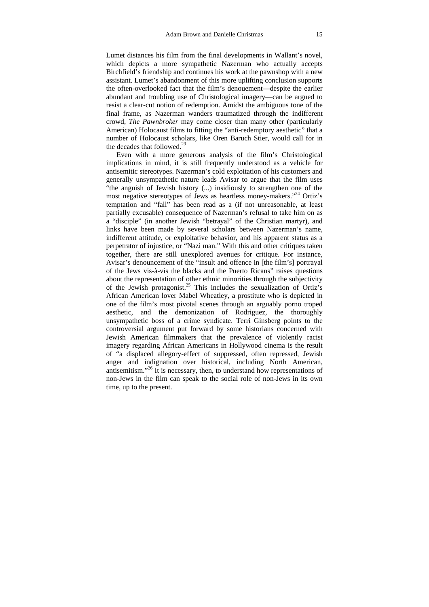Lumet distances his film from the final developments in Wallant's novel, which depicts a more sympathetic Nazerman who actually accepts Birchfield's friendship and continues his work at the pawnshop with a new assistant. Lumet's abandonment of this more uplifting conclusion supports the often-overlooked fact that the film's denouement—despite the earlier abundant and troubling use of Christological imagery—can be argued to resist a clear-cut notion of redemption. Amidst the ambiguous tone of the final frame, as Nazerman wanders traumatized through the indifferent crowd, *The Pawnbroker* may come closer than many other (particularly American) Holocaust films to fitting the "anti-redemptory aesthetic" that a number of Holocaust scholars, like Oren Baruch Stier, would call for in the decades that followed.<sup>23</sup>

Even with a more generous analysis of the film's Christological implications in mind, it is still frequently understood as a vehicle for antisemitic stereotypes. Nazerman's cold exploitation of his customers and generally unsympathetic nature leads Avisar to argue that the film uses "the anguish of Jewish history (...) insidiously to strengthen one of the most negative stereotypes of Jews as heartless money-makers."24 Ortiz's temptation and "fall" has been read as a (if not unreasonable, at least partially excusable) consequence of Nazerman's refusal to take him on as a "disciple" (in another Jewish "betrayal" of the Christian martyr), and links have been made by several scholars between Nazerman's name, indifferent attitude, or exploitative behavior, and his apparent status as a perpetrator of injustice, or "Nazi man." With this and other critiques taken together, there are still unexplored avenues for critique. For instance, Avisar's denouncement of the "insult and offence in [the film's] portrayal of the Jews vis-à-vis the blacks and the Puerto Ricans" raises questions about the representation of other ethnic minorities through the subjectivity of the Jewish protagonist.<sup>25</sup> This includes the sexualization of Ortiz's African American lover Mabel Wheatley, a prostitute who is depicted in one of the film's most pivotal scenes through an arguably porno troped aesthetic, and the demonization of Rodriguez, the thoroughly unsympathetic boss of a crime syndicate. Terri Ginsberg points to the controversial argument put forward by some historians concerned with Jewish American filmmakers that the prevalence of violently racist imagery regarding African Americans in Hollywood cinema is the result of "a displaced allegory-effect of suppressed, often repressed, Jewish anger and indignation over historical, including North American, antisemitism."26 It is necessary, then, to understand how representations of non-Jews in the film can speak to the social role of non-Jews in its own time, up to the present.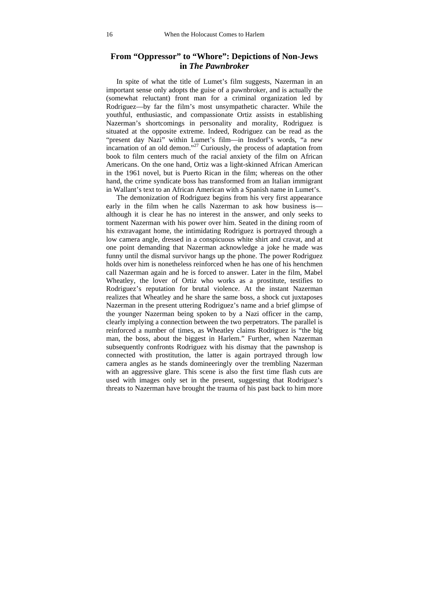#### **From "Oppressor" to "Whore": Depictions of Non-Jews in** *The Pawnbroker*

In spite of what the title of Lumet's film suggests, Nazerman in an important sense only adopts the guise of a pawnbroker, and is actually the (somewhat reluctant) front man for a criminal organization led by Rodriguez—by far the film's most unsympathetic character. While the youthful, enthusiastic, and compassionate Ortiz assists in establishing Nazerman's shortcomings in personality and morality, Rodriguez is situated at the opposite extreme. Indeed, Rodriguez can be read as the "present day Nazi" within Lumet's film—in Insdorf's words, "a new incarnation of an old demon."<sup>27</sup> Curiously, the process of adaptation from book to film centers much of the racial anxiety of the film on African Americans. On the one hand, Ortiz was a light-skinned African American in the 1961 novel, but is Puerto Rican in the film; whereas on the other hand, the crime syndicate boss has transformed from an Italian immigrant in Wallant's text to an African American with a Spanish name in Lumet's.

The demonization of Rodriguez begins from his very first appearance early in the film when he calls Nazerman to ask how business is although it is clear he has no interest in the answer, and only seeks to torment Nazerman with his power over him. Seated in the dining room of his extravagant home, the intimidating Rodriguez is portrayed through a low camera angle, dressed in a conspicuous white shirt and cravat, and at one point demanding that Nazerman acknowledge a joke he made was funny until the dismal survivor hangs up the phone. The power Rodriguez holds over him is nonetheless reinforced when he has one of his henchmen call Nazerman again and he is forced to answer. Later in the film, Mabel Wheatley, the lover of Ortiz who works as a prostitute, testifies to Rodriguez's reputation for brutal violence. At the instant Nazerman realizes that Wheatley and he share the same boss, a shock cut juxtaposes Nazerman in the present uttering Rodriguez's name and a brief glimpse of the younger Nazerman being spoken to by a Nazi officer in the camp, clearly implying a connection between the two perpetrators. The parallel is reinforced a number of times, as Wheatley claims Rodriguez is "the big man, the boss, about the biggest in Harlem." Further, when Nazerman subsequently confronts Rodriguez with his dismay that the pawnshop is connected with prostitution, the latter is again portrayed through low camera angles as he stands domineeringly over the trembling Nazerman with an aggressive glare. This scene is also the first time flash cuts are used with images only set in the present, suggesting that Rodriguez's threats to Nazerman have brought the trauma of his past back to him more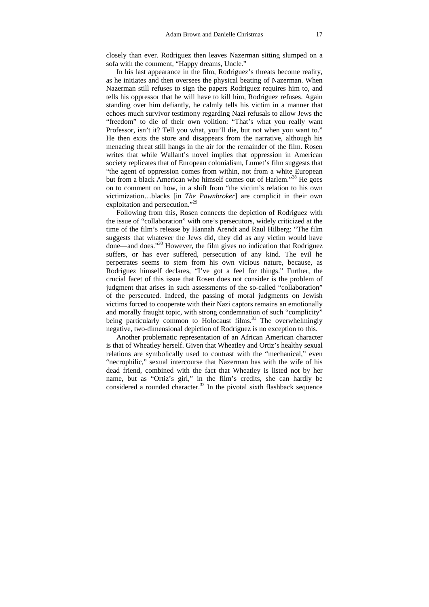closely than ever. Rodriguez then leaves Nazerman sitting slumped on a sofa with the comment, "Happy dreams, Uncle."

In his last appearance in the film, Rodriguez's threats become reality, as he initiates and then oversees the physical beating of Nazerman. When Nazerman still refuses to sign the papers Rodriguez requires him to, and tells his oppressor that he will have to kill him, Rodriguez refuses. Again standing over him defiantly, he calmly tells his victim in a manner that echoes much survivor testimony regarding Nazi refusals to allow Jews the "freedom" to die of their own volition: "That's what you really want Professor, isn't it? Tell you what, you'll die, but not when you want to." He then exits the store and disappears from the narrative, although his menacing threat still hangs in the air for the remainder of the film. Rosen writes that while Wallant's novel implies that oppression in American society replicates that of European colonialism, Lumet's film suggests that "the agent of oppression comes from within, not from a white European but from a black American who himself comes out of Harlem."<sup>28</sup> He goes on to comment on how, in a shift from "the victim's relation to his own victimization…blacks [in *The Pawnbroker*] are complicit in their own exploitation and persecution."<sup>29</sup>

Following from this, Rosen connects the depiction of Rodriguez with the issue of "collaboration" with one's persecutors, widely criticized at the time of the film's release by Hannah Arendt and Raul Hilberg: "The film suggests that whatever the Jews did, they did as any victim would have done—and does."30 However, the film gives no indication that Rodriguez suffers, or has ever suffered, persecution of any kind. The evil he perpetrates seems to stem from his own vicious nature, because, as Rodriguez himself declares, "I've got a feel for things." Further, the crucial facet of this issue that Rosen does not consider is the problem of judgment that arises in such assessments of the so-called "collaboration" of the persecuted. Indeed, the passing of moral judgments on Jewish victims forced to cooperate with their Nazi captors remains an emotionally and morally fraught topic, with strong condemnation of such "complicity" being particularly common to Holocaust films.<sup>31</sup> The overwhelmingly negative, two-dimensional depiction of Rodriguez is no exception to this.

Another problematic representation of an African American character is that of Wheatley herself. Given that Wheatley and Ortiz's healthy sexual relations are symbolically used to contrast with the "mechanical," even "necrophilic," sexual intercourse that Nazerman has with the wife of his dead friend, combined with the fact that Wheatley is listed not by her name, but as "Ortiz's girl," in the film's credits, she can hardly be considered a rounded character.<sup>32</sup> In the pivotal sixth flashback sequence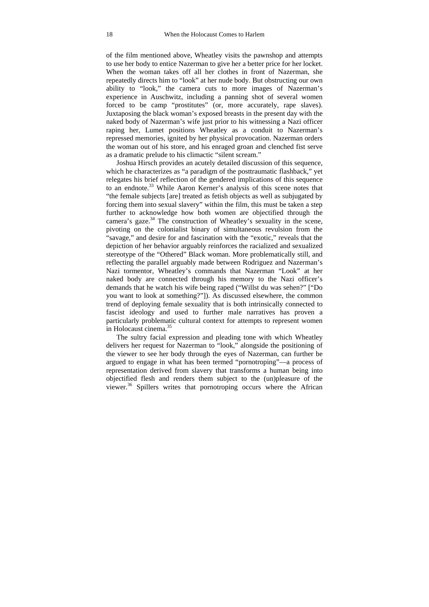of the film mentioned above, Wheatley visits the pawnshop and attempts to use her body to entice Nazerman to give her a better price for her locket. When the woman takes off all her clothes in front of Nazerman, she repeatedly directs him to "look" at her nude body. But obstructing our own ability to "look," the camera cuts to more images of Nazerman's experience in Auschwitz, including a panning shot of several women forced to be camp "prostitutes" (or, more accurately, rape slaves). Juxtaposing the black woman's exposed breasts in the present day with the naked body of Nazerman's wife just prior to his witnessing a Nazi officer raping her, Lumet positions Wheatley as a conduit to Nazerman's repressed memories, ignited by her physical provocation. Nazerman orders the woman out of his store, and his enraged groan and clenched fist serve as a dramatic prelude to his climactic "silent scream."

Joshua Hirsch provides an acutely detailed discussion of this sequence, which he characterizes as "a paradigm of the posttraumatic flashback," yet relegates his brief reflection of the gendered implications of this sequence to an endnote.<sup>33</sup> While Aaron Kerner's analysis of this scene notes that "the female subjects [are] treated as fetish objects as well as subjugated by forcing them into sexual slavery" within the film, this must be taken a step further to acknowledge how both women are objectified through the camera's gaze. $34$  The construction of Wheatley's sexuality in the scene, pivoting on the colonialist binary of simultaneous revulsion from the "savage," and desire for and fascination with the "exotic," reveals that the depiction of her behavior arguably reinforces the racialized and sexualized stereotype of the "Othered" Black woman. More problematically still, and reflecting the parallel arguably made between Rodriguez and Nazerman's Nazi tormentor, Wheatley's commands that Nazerman "Look" at her naked body are connected through his memory to the Nazi officer's demands that he watch his wife being raped ("Willst du was sehen?" ["Do you want to look at something?"]). As discussed elsewhere, the common trend of deploying female sexuality that is both intrinsically connected to fascist ideology and used to further male narratives has proven a particularly problematic cultural context for attempts to represent women in Holocaust cinema.35

The sultry facial expression and pleading tone with which Wheatley delivers her request for Nazerman to "look," alongside the positioning of the viewer to see her body through the eyes of Nazerman, can further be argued to engage in what has been termed "pornotroping"—a process of representation derived from slavery that transforms a human being into objectified flesh and renders them subject to the (un)pleasure of the viewer.<sup>36</sup> Spillers writes that pornotroping occurs where the African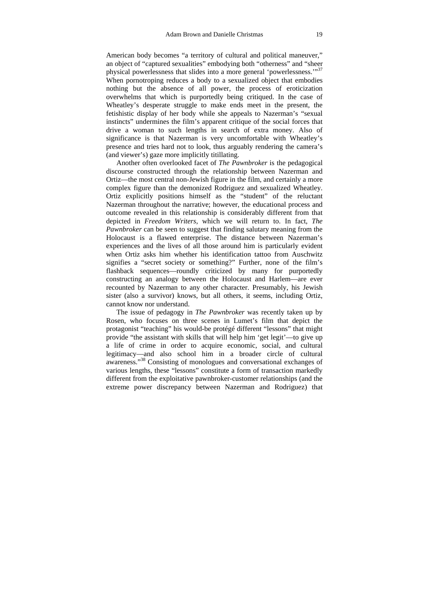American body becomes "a territory of cultural and political maneuver," an object of "captured sexualities" embodying both "otherness" and "sheer physical powerlessness that slides into a more general 'powerlessness.'"37 When pornotroping reduces a body to a sexualized object that embodies nothing but the absence of all power, the process of eroticization overwhelms that which is purportedly being critiqued. In the case of Wheatley's desperate struggle to make ends meet in the present, the fetishistic display of her body while she appeals to Nazerman's "sexual instincts" undermines the film's apparent critique of the social forces that drive a woman to such lengths in search of extra money. Also of significance is that Nazerman is very uncomfortable with Wheatley's presence and tries hard not to look, thus arguably rendering the camera's (and viewer's) gaze more implicitly titillating.

Another often overlooked facet of *The Pawnbroker* is the pedagogical discourse constructed through the relationship between Nazerman and Ortiz—the most central non-Jewish figure in the film, and certainly a more complex figure than the demonized Rodriguez and sexualized Wheatley. Ortiz explicitly positions himself as the "student" of the reluctant Nazerman throughout the narrative; however, the educational process and outcome revealed in this relationship is considerably different from that depicted in *Freedom Writers*, which we will return to. In fact, *The Pawnbroker* can be seen to suggest that finding salutary meaning from the Holocaust is a flawed enterprise. The distance between Nazerman's experiences and the lives of all those around him is particularly evident when Ortiz asks him whether his identification tattoo from Auschwitz signifies a "secret society or something?" Further, none of the film's flashback sequences—roundly criticized by many for purportedly constructing an analogy between the Holocaust and Harlem—are ever recounted by Nazerman to any other character. Presumably, his Jewish sister (also a survivor) knows, but all others, it seems, including Ortiz, cannot know nor understand.

The issue of pedagogy in *The Pawnbroker* was recently taken up by Rosen, who focuses on three scenes in Lumet's film that depict the protagonist "teaching" his would-be protégé different "lessons" that might provide "the assistant with skills that will help him 'get legit'—to give up a life of crime in order to acquire economic, social, and cultural legitimacy—and also school him in a broader circle of cultural awareness."38 Consisting of monologues and conversational exchanges of various lengths, these "lessons" constitute a form of transaction markedly different from the exploitative pawnbroker-customer relationships (and the extreme power discrepancy between Nazerman and Rodriguez) that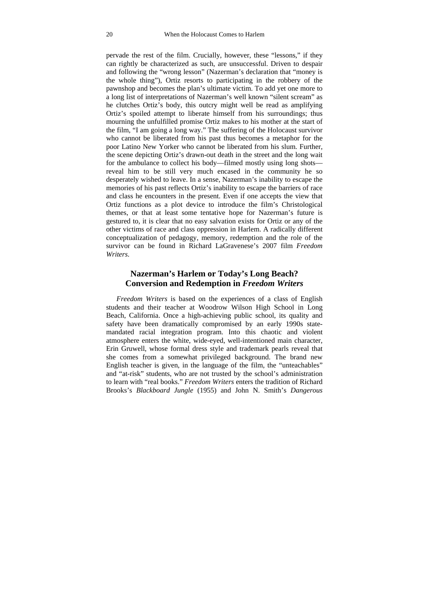pervade the rest of the film. Crucially, however, these "lessons," if they can rightly be characterized as such, are unsuccessful. Driven to despair and following the "wrong lesson" (Nazerman's declaration that "money is the whole thing"), Ortiz resorts to participating in the robbery of the pawnshop and becomes the plan's ultimate victim. To add yet one more to a long list of interpretations of Nazerman's well known "silent scream" as he clutches Ortiz's body, this outcry might well be read as amplifying Ortiz's spoiled attempt to liberate himself from his surroundings; thus mourning the unfulfilled promise Ortiz makes to his mother at the start of the film, "I am going a long way." The suffering of the Holocaust survivor who cannot be liberated from his past thus becomes a metaphor for the poor Latino New Yorker who cannot be liberated from his slum. Further, the scene depicting Ortiz's drawn-out death in the street and the long wait for the ambulance to collect his body—filmed mostly using long shots reveal him to be still very much encased in the community he so desperately wished to leave. In a sense, Nazerman's inability to escape the memories of his past reflects Ortiz's inability to escape the barriers of race and class he encounters in the present. Even if one accepts the view that Ortiz functions as a plot device to introduce the film's Christological themes, or that at least some tentative hope for Nazerman's future is gestured to, it is clear that no easy salvation exists for Ortiz or any of the other victims of race and class oppression in Harlem. A radically different conceptualization of pedagogy, memory, redemption and the role of the survivor can be found in Richard LaGravenese's 2007 film *Freedom Writers*.

#### **Nazerman's Harlem or Today's Long Beach? Conversion and Redemption in** *Freedom Writers*

*Freedom Writers* is based on the experiences of a class of English students and their teacher at Woodrow Wilson High School in Long Beach, California. Once a high-achieving public school, its quality and safety have been dramatically compromised by an early 1990s statemandated racial integration program. Into this chaotic and violent atmosphere enters the white, wide-eyed, well-intentioned main character, Erin Gruwell, whose formal dress style and trademark pearls reveal that she comes from a somewhat privileged background. The brand new English teacher is given, in the language of the film, the "unteachables" and "at-risk" students, who are not trusted by the school's administration to learn with "real books." *Freedom Writers* enters the tradition of Richard Brooks's *Blackboard Jungle* (1955) and John N. Smith's *Dangerous*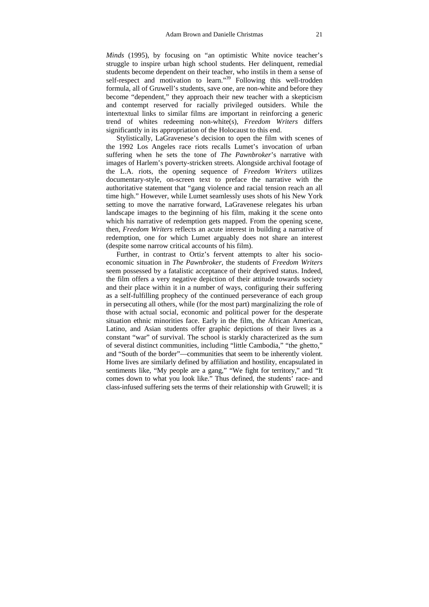*Minds* (1995), by focusing on "an optimistic White novice teacher's struggle to inspire urban high school students. Her delinquent, remedial students become dependent on their teacher, who instils in them a sense of self-respect and motivation to learn."<sup>39</sup> Following this well-trodden formula, all of Gruwell's students, save one, are non-white and before they become "dependent," they approach their new teacher with a skepticism and contempt reserved for racially privileged outsiders. While the intertextual links to similar films are important in reinforcing a generic trend of whites redeeming non-white(s), *Freedom Writers* differs significantly in its appropriation of the Holocaust to this end.

Stylistically, LaGravenese's decision to open the film with scenes of the 1992 Los Angeles race riots recalls Lumet's invocation of urban suffering when he sets the tone of *The Pawnbroker*'s narrative with images of Harlem's poverty-stricken streets. Alongside archival footage of the L.A. riots, the opening sequence of *Freedom Writers* utilizes documentary-style, on-screen text to preface the narrative with the authoritative statement that "gang violence and racial tension reach an all time high." However, while Lumet seamlessly uses shots of his New York setting to move the narrative forward, LaGravenese relegates his urban landscape images to the beginning of his film, making it the scene onto which his narrative of redemption gets mapped. From the opening scene, then, *Freedom Writers* reflects an acute interest in building a narrative of redemption, one for which Lumet arguably does not share an interest (despite some narrow critical accounts of his film).

Further, in contrast to Ortiz's fervent attempts to alter his socioeconomic situation in *The Pawnbroker*, the students of *Freedom Writers* seem possessed by a fatalistic acceptance of their deprived status. Indeed, the film offers a very negative depiction of their attitude towards society and their place within it in a number of ways, configuring their suffering as a self-fulfilling prophecy of the continued perseverance of each group in persecuting all others, while (for the most part) marginalizing the role of those with actual social, economic and political power for the desperate situation ethnic minorities face. Early in the film, the African American, Latino, and Asian students offer graphic depictions of their lives as a constant "war" of survival. The school is starkly characterized as the sum of several distinct communities, including "little Cambodia," "the ghetto," and "South of the border"—communities that seem to be inherently violent. Home lives are similarly defined by affiliation and hostility, encapsulated in sentiments like, "My people are a gang," "We fight for territory," and "It comes down to what you look like." Thus defined, the students' race- and class-infused suffering sets the terms of their relationship with Gruwell; it is